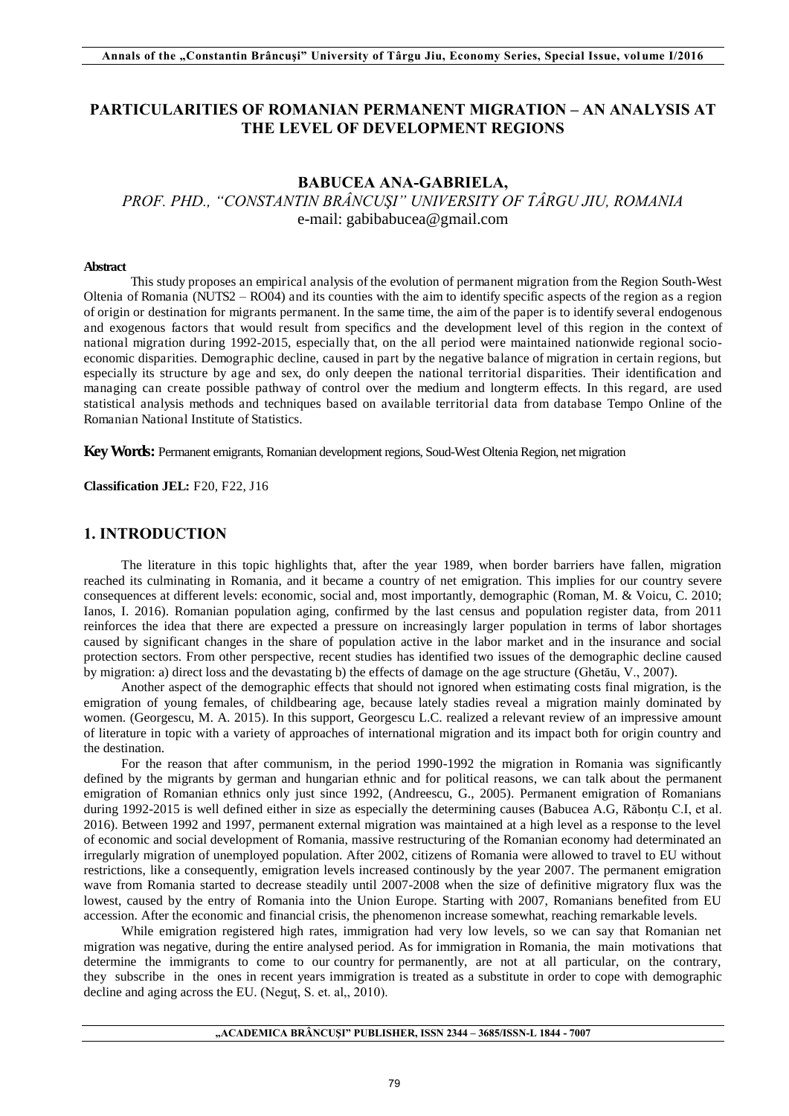## **PARTICULARITIES OF ROMANIAN PERMANENT MIGRATION – AN ANALYSIS AT THE LEVEL OF DEVELOPMENT REGIONS**

## **BABUCEA ANA-GABRIELA,**  *PROF. PHD., "CONSTANTIN BRÂNCUŞI" UNIVERSITY OF TÂRGU JIU, ROMANIA* e-mail: [gabibabucea@gmail.com](mailto:gabibabucea@gmail.com)

#### **Abstract**

This study proposes an empirical analysis of the evolution of permanent migration from the Region South-West Oltenia of Romania (NUTS2 *–* RO04) and its counties with the aim to identify specific aspects of the region as a region of origin or destination for migrants permanent. In the same time, the aim of the paper is to identify several endogenous and exogenous factors that would result from specifics and the development level of this region in the context of national migration during 1992-2015, especially that, on the all period were maintained nationwide regional socioeconomic disparities. Demographic decline, caused in part by the negative balance of migration in certain regions, but especially its structure by age and sex, do only deepen the national territorial disparities. Their identification and managing can create possible pathway of control over the medium and longterm effects. In this regard, are used statistical analysis methods and techniques based on available territorial data from database Tempo Online of the Romanian National Institute of Statistics.

**Key Words:** Permanent emigrants, Romanian development regions, Soud-West Oltenia Region, net migration

**Classification JEL:** F20, F22, J16

### **1. INTRODUCTION**

The literature in this topic highlights that, after the year 1989, when border barriers have fallen, migration reached its culminating in Romania, and it became a country of net emigration. This implies for our country severe consequences at different levels: economic, social and, most importantly, demographic (Roman, M. & Voicu, C. 2010; Ianos, I. 2016). Romanian population aging, confirmed by the last census and population register data, from 2011 reinforces the idea that there are expected a pressure on increasingly larger population in terms of labor shortages caused by significant changes in the share of population active in the labor market and in the insurance and social protection sectors. From other perspective, recent studies has identified two issues of the demographic decline caused by migration: a) direct loss and the devastating b) the effects of damage on the age structure (Ghetău, V., 2007).

Another aspect of the demographic effects that should not ignored when estimating costs final migration, is the emigration of young females, of childbearing age, because lately stadies reveal a migration mainly dominated by women. (Georgescu, M. A. 2015). In this support, Georgescu L.C. realized a relevant review of an impressive amount of literature in topic with a variety of approaches of international migration and its impact both for origin country and the destination.

For the reason that after communism, in the period 1990-1992 the migration in Romania was significantly defined by the migrants by german and hungarian ethnic and for political reasons, we can talk about the permanent emigration of Romanian ethnics only just since 1992, (Andreescu, G., 2005). Permanent emigration of Romanians during 1992-2015 is well defined either in size as especially the determining causes (Babucea A.G, Răbonțu C.I, et al. 2016). Between 1992 and 1997, permanent external migration was maintained at a high level as a response to the level of economic and social development of Romania, massive restructuring of the Romanian economy had determinated an irregularly migration of unemployed population. After 2002, citizens of Romania were allowed to travel to EU without restrictions, like a consequently, emigration levels increased continously by the year 2007. The permanent emigration wave from Romania started to decrease steadily until 2007-2008 when the size of definitive migratory flux was the lowest, caused by the entry of Romania into the Union Europe. Starting with 2007, Romanians benefited from EU accession. After the economic and financial crisis, the phenomenon increase somewhat, reaching remarkable levels.

While emigration registered high rates, immigration had very low levels, so we can say that Romanian net migration was negative, during the entire analysed period. As for immigration in Romania, the main motivations that determine the immigrants to come to our country for permanently, are not at all particular, on the contrary, they subscribe in the ones in recent years immigration is treated as a substitute in order to cope with demographic decline and aging across the EU. (Neguţ, S. et. al,, 2010).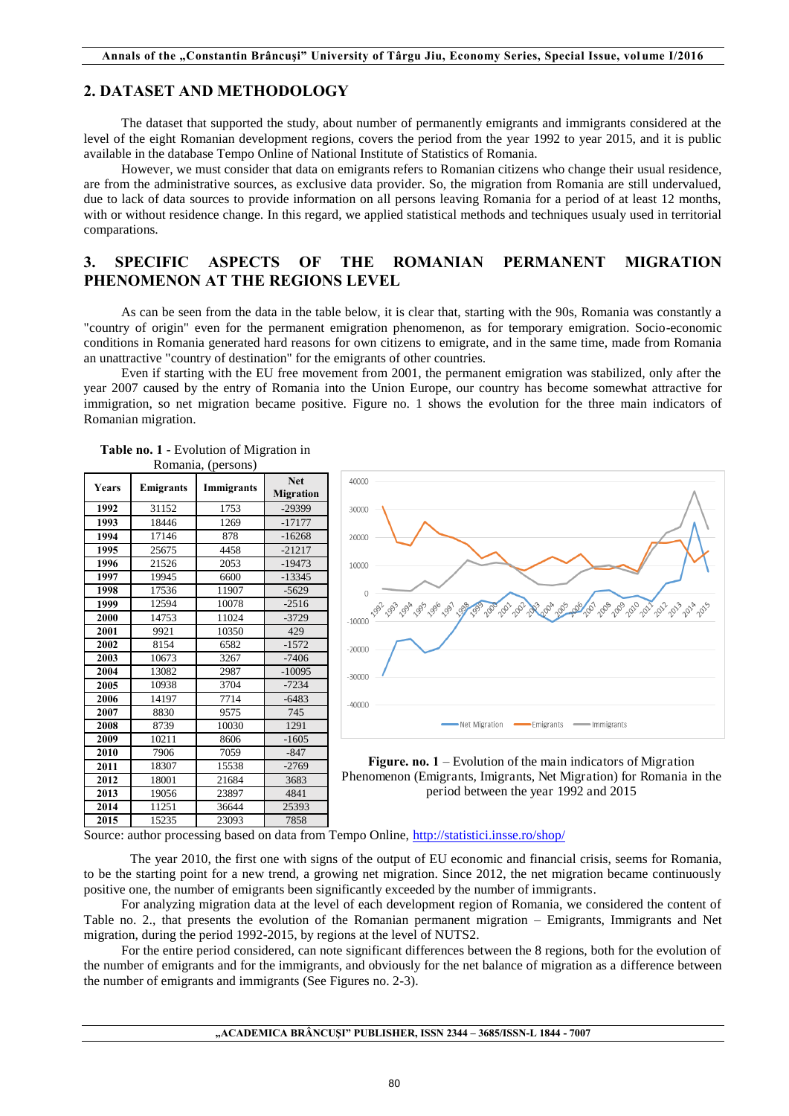### **2. DATASET AND METHODOLOGY**

The dataset that supported the study, about number of permanently emigrants and immigrants considered at the level of the eight Romanian development regions, covers the period from the year 1992 to year 2015, and it is public available in the database Tempo Online of National Institute of Statistics of Romania.

However, we must consider that data on emigrants refers to Romanian citizens who change their usual residence, are from the administrative sources, as exclusive data provider. So, the migration from Romania are still undervalued, due to lack of data sources to provide information on all persons leaving Romania for a period of at least 12 months, with or without residence change. In this regard, we applied statistical methods and techniques usualy used in territorial comparations.

## **3. SPECIFIC ASPECTS OF THE ROMANIAN PERMANENT MIGRATION PHENOMENON AT THE REGIONS LEVEL**

As can be seen from the data in the table below, it is clear that, starting with the 90s, Romania was constantly a "country of origin" even for the permanent emigration phenomenon, as for temporary emigration. Socio-economic conditions in Romania generated hard reasons for own citizens to emigrate, and in the same time, made from Romania an unattractive "country of destination" for the emigrants of other countries.

Even if starting with the EU free movement from 2001, the permanent emigration was stabilized, only after the year 2007 caused by the entry of Romania into the Union Europe, our country has become somewhat attractive for immigration, so net migration became positive. Figure no. 1 shows the evolution for the three main indicators of Romanian migration.

|       |                  | $1.01$ $\mu$ $\mu$ $\mu$ $\sigma$ $\mu$ $\sigma$ $\mu$ |                                |                                     |
|-------|------------------|--------------------------------------------------------|--------------------------------|-------------------------------------|
| Years | <b>Emigrants</b> | Immigrants                                             | <b>Net</b><br><b>Migration</b> | 40000                               |
| 1992  | 31152            | 1753                                                   | $-29399$                       | 30000                               |
| 1993  | 18446            | 1269                                                   | $-17177$                       |                                     |
| 1994  | 17146            | 878                                                    | $-16268$                       | 20000                               |
| 1995  | 25675            | 4458                                                   | $-21217$                       |                                     |
| 1996  | 21526            | 2053                                                   | $-19473$                       | 10000                               |
| 1997  | 19945            | 6600                                                   | $-13345$                       |                                     |
| 1998  | 17536            | 11907                                                  | $-5629$                        | $\Omega$                            |
| 1999  | 12594            | 10078                                                  | $-2516$                        |                                     |
| 2000  | 14753            | 11024                                                  | $-3729$                        | <b>1993</b> 091<br>1991<br>$-10000$ |
| 2001  | 9921             | 10350                                                  | 429                            |                                     |
| 2002  | 8154             | 6582                                                   | $-1572$                        | $-20000$                            |
| 2003  | 10673            | 3267                                                   | $-7406$                        |                                     |
| 2004  | 13082            | 2987                                                   | $-10095$                       | $-30000$                            |
| 2005  | 10938            | 3704                                                   | $-7234$                        |                                     |
| 2006  | 14197            | 7714                                                   | $-6483$                        | $-40000$                            |
| 2007  | 8830             | 9575                                                   | 745                            |                                     |
| 2008  | 8739             | 10030                                                  | 1291                           |                                     |
| 2009  | 10211            | 8606                                                   | $-1605$                        |                                     |
| 2010  | 7906             | 7059                                                   | $-847$                         |                                     |
| 2011  | 18307            | 15538                                                  | $-2769$                        | Figure. no                          |
| 2012  | 18001            | 21684                                                  | 3683                           | Phenomenon (I                       |
| 2013  | 19056            | 23897                                                  | 4841                           |                                     |
| 2014  | 11251            | 36644                                                  | 25393                          |                                     |
| 2015  | 15235            | 23093                                                  | 7858                           |                                     |







Source: author processing based on data from Tempo Online,<http://statistici.insse.ro/shop/>

 The year 2010, the first one with signs of the output of EU economic and financial crisis, seems for Romania, to be the starting point for a new trend, a growing net migration. Since 2012, the net migration became continuously positive one, the number of emigrants been significantly exceeded by the number of immigrants.

For analyzing migration data at the level of each development region of Romania, we considered the content of Table no. 2., that presents the evolution of the Romanian permanent migration – Emigrants, Immigrants and Net migration, during the period 1992-2015, by regions at the level of NUTS2.

For the entire period considered, can note significant differences between the 8 regions, both for the evolution of the number of emigrants and for the immigrants, and obviously for the net balance of migration as a difference between the number of emigrants and immigrants (See Figures no. 2-3).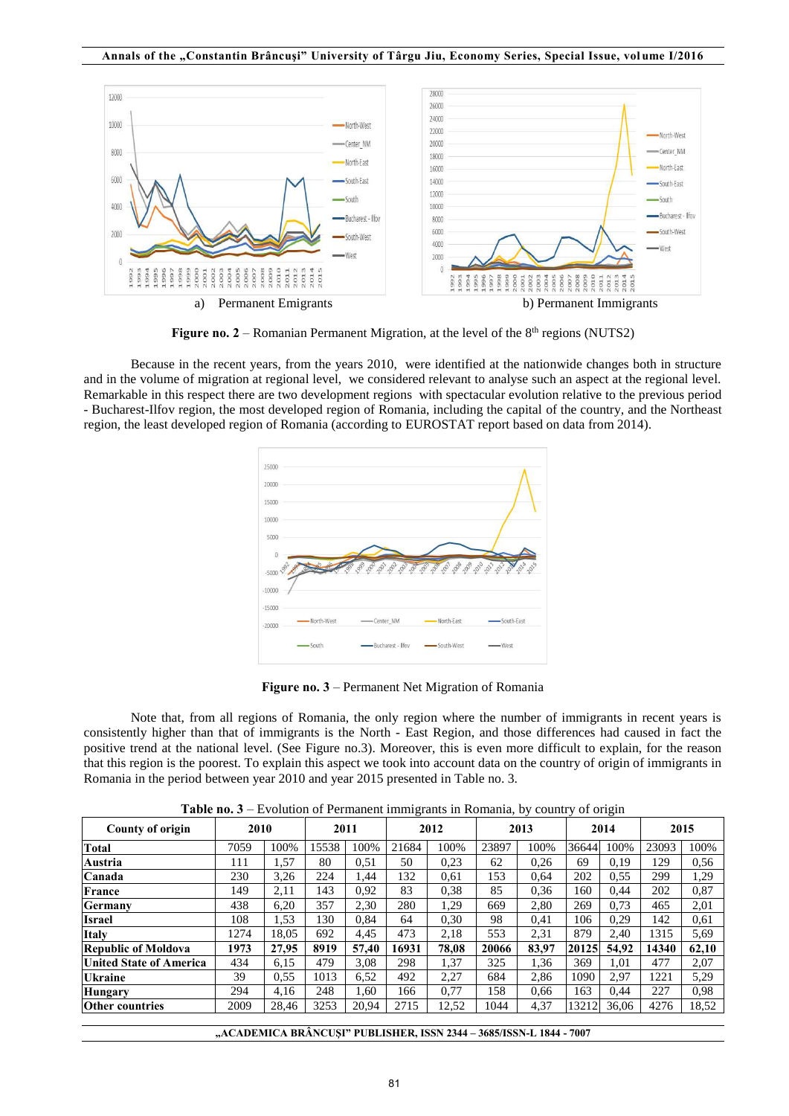

**Figure no. 2** – Romanian Permanent Migration, at the level of the  $8<sup>th</sup>$  regions (NUTS2)

 Because in the recent years, from the years 2010, were identified at the nationwide changes both in structure and in the volume of migration at regional level, we considered relevant to analyse such an aspect at the regional level. Remarkable in this respect there are two development regions with spectacular evolution relative to the previous period - Bucharest-Ilfov region, the most developed region of Romania, including the capital of the country, and the Northeast region, the least developed region of Romania (according to EUROSTAT report based on data from 2014).



**Figure no. 3** – Permanent Net Migration of Romania

Note that, from all regions of Romania, the only region where the number of immigrants in recent years is consistently higher than that of immigrants is the North - East Region, and those differences had caused in fact the positive trend at the national level. (See Figure no.3). Moreover, this is even more difficult to explain, for the reason that this region is the poorest. To explain this aspect we took into account data on the country of origin of immigrants in Romania in the period between year 2010 and year 2015 presented in Table no. 3.

| Table no. 3 – Evolution of Permanent immigrants in Romania, by country of origin |  |  |
|----------------------------------------------------------------------------------|--|--|
|                                                                                  |  |  |

| County of origin               | 2010 |       |       | 2011  |       | <br>2012 |       | 2013  |       | ----<br>2014 | 2015  |       |
|--------------------------------|------|-------|-------|-------|-------|----------|-------|-------|-------|--------------|-------|-------|
| <b>Total</b>                   | 7059 | 100%  | 15538 | 100%  | 21684 | 100%     | 23897 | 100%  | 36644 | 100%         | 23093 | 100%  |
| Austria                        | 111  | 1,57  | 80    | 0.51  | 50    | 0,23     | 62    | 0.26  | 69    | 0,19         | 129   | 0.56  |
| Canada                         | 230  | 3,26  | 224   | 1,44  | 132   | 0.61     | 153   | 0.64  | 202   | 0.55         | 299   | 1,29  |
| France                         | 149  | 2,11  | 143   | 0,92  | 83    | 0.38     | 85    | 0,36  | 160   | 0,44         | 202   | 0.87  |
| Germany                        | 438  | 6,20  | 357   | 2,30  | 280   | 1,29     | 669   | 2,80  | 269   | 0.73         | 465   | 2,01  |
| <b>Israel</b>                  | 108  | 1,53  | 130   | 0,84  | 64    | 0,30     | 98    | 0.41  | 106   | 0.29         | 142   | 0.61  |
| <b>Italy</b>                   | 1274 | 18.05 | 692   | 4.45  | 473   | 2.18     | 553   | 2,31  | 879   | 2.40         | 1315  | 5,69  |
| <b>Republic of Moldova</b>     | 1973 | 27.95 | 8919  | 57,40 | 16931 | 78,08    | 20066 | 83.97 | 20125 | 54.92        | 14340 | 62,10 |
| <b>United State of America</b> | 434  | 6.15  | 479   | 3.08  | 298   | 1,37     | 325   | 1.36  | 369   | 1.01         | 477   | 2,07  |
| <b>Ukraine</b>                 | 39   | 0,55  | 1013  | 6,52  | 492   | 2,27     | 684   | 2,86  | 1090  | 2,97         | 1221  | 5,29  |
| <b>Hungary</b>                 | 294  | 4,16  | 248   | 1,60  | 166   | 0,77     | 158   | 0,66  | 163   | 0,44         | 227   | 0.98  |
| <b>Other countries</b>         | 2009 | 28,46 | 3253  | 20,94 | 2715  | 12,52    | 1044  | 4,37  | 13212 | 36.06        | 4276  | 18,52 |

|  |  | "ACADEMICA BRANCUSI" PUBLISHER, ISSN 2344 – 3685/ISSN-L 1844 - 7007 |  |
|--|--|---------------------------------------------------------------------|--|
|--|--|---------------------------------------------------------------------|--|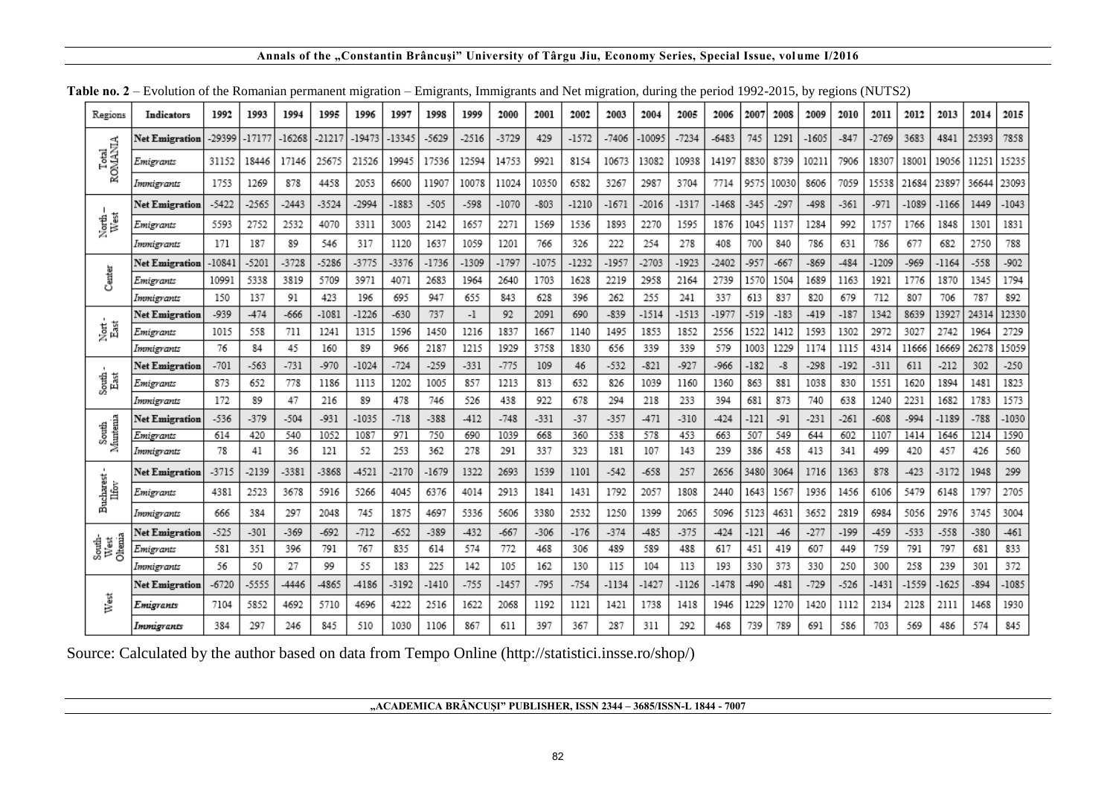### **Annals of the "Constantin Brâncuşi" University of Târgu Jiu, Economy Series, Special Issue, vol ume I/2016**

|                           |                         |               |               |               |               |               | .             |               |               |               | .             |               |               |               |               |               |               |              |               |               |               |               |               |               |               |
|---------------------------|-------------------------|---------------|---------------|---------------|---------------|---------------|---------------|---------------|---------------|---------------|---------------|---------------|---------------|---------------|---------------|---------------|---------------|--------------|---------------|---------------|---------------|---------------|---------------|---------------|---------------|
| Regions                   | Indicators              | 1992          | 1993          | 1994          | 1995          | 1996          | 1997          | 1998          | 1999          | 2000          | 2001          | 2002          | 2003          | 2004          | 2005          | 2006          | 2007          | 2008         | 2009          | 2010          | 2011          | 2012          | 2013          | 2014          | 2015          |
|                           | Net Emigration          | -29399        | -17177        | $-16268$      | -21217        | -19473        | -13345        | -5629         | $-2516$       | $-3729$       | 429           | $-1572$       | $-7406$       | -10095        | $-7234$       | $-6483$       | 745           | 1291         | $-1605$       | $-847$        | $-2769$       | 3683          | 4841          | 25393         | 7858          |
| Total<br>ROMANIA          | Emigrants               | 31152         | 18446         | 17146         | 25675         | 21526         | 19945         | 17536         | 12594         | 14753         | 9921          | 8154          | 10673         | 13082         | 10938         | 14197         | 8830          | 8739         | 10211         | 7906          | 18307         | 18001         | 19056         | 11251         | 15235         |
|                           | Immigrants              | 1753          | 1269          | 878           | 4458          | 2053          | 6600          | 11907         | 10078         | 11024         | 10350         | 6582          | 3267          | 2987          | 3704          | 7714          | 9575          | 10030        | 8606          | 7059          | 15538         | 21684         | 23897         | 36644         | 23093         |
|                           | Net Emigration          | $-5422$       | -2565         | $-2443$       | $-3524$       | -2994         | $-1883$       | $-505$        | $-598$        | $-1070$       | $-803$        | $-1210$       | $-1671$       | $-2016$       | $-1317$       | $-1468$       | $-345$        | $-297$       | $-498$        | $-361$        | $-971$        | -1089         | $-1166$       | 1449          | $-1043$       |
| North-<br>West            | Emigrants               | 5593          | 2752          | 2532          | 4070          | 3311          | 3003          | 2142          | 1657          | 2271          | 1569          | 1536          | 1893          | 2270          | 1595          | 1876          | 1045          | 1137         | 1284          | 992           | 1757          | 1766          | 1848          | 1301          | 1831          |
|                           | Immierants              | 171           | 187           | 89            | 546           | 317           | 1120          | 1637          | 1059          | 1201          | 766           | 326           | 222           | 254           | 278           | 408           | 700           | 840          | 786           | 631           | 786           | 677           | 682           | 2750          | 788           |
|                           | Net Emigration          | $-10841$      | $-5201$       | $-3728$       | $-5286$       | -3775         | $-3376$       | $-1736$       | $-1309$       | $-1797$       | $-1075$       | $-1232$       | -1957         | $-2703$       | $-1923$       | $-2402$       | $-957$        | $-667$       | $-869$        | $-484$        | -1209         | $-969$        | $-1164$       | $-558$        | $-902$        |
| Center                    | Emigrants               | 10991         | 5338          | 3819          | 5709          | 3971          | 4071          | 2683          | 1964          | 2640          | 1703          | 1628          | 2219          | 2958          | 2164          | 2739          | 1570          | 1504         | 1689          | 1163          | 1921          | 1776          | 1870          | 1345          | 1794          |
|                           | Immigrants              | 150           | 137           | 91            | 423           | 196           | 695           | 947           | 655           | 843           | 628           | 396           | 262           | 255           | 241           | 337           | 613           | 837          | 820           | 679           | 712           | 807           | 706           | 787           | 892           |
|                           | <b>Net Emigration</b>   | $-939$        | $-474$        | $-666$        | $-1081$       | $-1226$       | $-630$        | 737           | $-1$          | 92            | 2091          | 690           | $-839$        | $-1514$       | $-1513$       | $-1977$       | $-519$        | $-183$       | $-419$        | $-187$        | 1342          | 8639          | 13927         | 24314         | 12330         |
| Nort -<br>East            | Emigrants               | 1015          | 558           | 711           | 1241          | 1315          | 1596          | 1450          | 1216          | 1837          | 1667          | 1140          | 1495          | 1853          | 1852          | 2556          | 1522          | 1412         | 1593          | 1302          | 2972          | 3027          | 2742          | 1964          | 2729          |
|                           | Immigrants              | 76            | 84            | 45            | 160           | 89            | 966           | 2187          | 1215          | 1929          | 3758          | 1830          | 656           | 339           | 339           | 579           | 1003          | 1229         | 1174          | 1115          | 4314          | 11666         | 16669         | 26278         | 15059         |
|                           | Net Emigration          | -701          | $-563$        | $-731$        | $-970$        | $-1024$       | $-724$        | $-259$        | $-331$        | $-775$        | 109           | 46            | $-532$        | $-821$        | $-927$        | -966          | $-182$        | -8           | $-298$        | $-192$        | -311          | 611           | $-212$        | 302           | $-250$        |
| South<br>East             | Emigrants               | 873           | 652           | 778           | 1186          | 1113          | 1202          | 1005          | 857           | 1213          | 813           | 632           | 826           | 1039          | 1160          | 1360          | 863           | 881          | 1038          | 830           | 1551          | 1620          | 1894          | 1481          | 1823          |
|                           | Immigrants              | 172           | 89            | 47            | 216           | 89            | 478           | 746           | 526           | 438           | 922           | 678           | 294           | 218           | 233           | 394           | 681           | 873          | 740           | 638           | 1240          | 2231          | 1682          | 1783          | 1573          |
| South<br>Muntenia         | Net Emigration          | $-536$        | $-379$        | $-504$        | $-931$        | -1035         | $-718$        | $-388$        | $-412$        | $-748$        | $-331$        | $-37$         | $-357$        | $-471$        | $-310$        | $-424$        | $-121$        | $-91$        | $-231$        | $-261$        | $-608$        | $-994$        | $-1189$       | $-788$        | $-1030$       |
|                           | Emigrants               | 614<br>78     | 420<br>41     | 540<br>36     | 1052<br>121   | 1087<br>52    | 971<br>253    | 750<br>362    | 690<br>278    | 1039<br>291   | 668<br>337    | 360<br>323    | 538<br>181    | 578<br>107    | 453<br>143    | 663<br>239    | 507<br>386    | 549<br>458   | 644<br>413    | 602<br>341    | 1107<br>499   | 1414<br>420   | 1646<br>457   | 1214<br>426   | 1590<br>560   |
| $\mathbf{I}$              | Immigrants              |               |               |               |               |               |               |               |               |               |               |               |               |               |               |               |               |              |               |               |               |               |               |               | 299           |
| Bucharest<br>Ilfov        | <b>Net Emigration</b>   | $-3715$       | -2139         | -3381         | $-3868$       | -4521         | $-2170$       | $-1679$       | 1322          | 2693          | 1539          | 1101          | $-542$        | $-658$        | 257           | 2656          | 3480          | 3064         | 1716          | 1363          | 878           | $-423$        | $-3172$       | 1948          | 2705          |
|                           | Emigrants               | 4381          | 2523          | 3678          | 5916          | 5266          | 4045          | 6376          | 4014          | 2913          | 1841          | 1431          | 1792          | 2057          | 1808          | 2440          | 1643          | 1567         | 1936          | 1456          | 6106          | 5479          | 6148          | 1797          |               |
|                           | Immigrants              | 666           | 384           | 297           | 2048          | 745           | 1875          | 4697          | 5336          | 5606          | 3380          | 2532          | 1250          | 1399          | 2065          | 5096          | 5123          | 4631         | 3652          | 2819          | 6984          | 5056          | 2976          | 3745          | 3004          |
| South-<br>West<br>Oltemia | <b>Net Emigration</b>   | $-525$<br>581 | $-301$<br>351 | $-369$<br>396 | $-692$<br>791 | $-712$<br>767 | $-652$<br>835 | $-389$<br>614 | $-432$<br>574 | $-667$<br>772 | $-306$<br>468 | $-176$<br>306 | $-374$<br>489 | $-485$<br>589 | $-375$<br>488 | $-424$<br>617 | $-121$<br>451 | $-46$<br>419 | $-277$<br>607 | $-199$<br>449 | $-459$<br>759 | $-533$<br>791 | $-558$<br>797 | $-380$<br>681 | $-461$<br>833 |
|                           | Emigrants<br>Immigrants | 56            | 50            | 27            | 99            | 55            | 183           | 225           | 142           | 105           | 162           | 130           | 115           | 104           | 113           | 193           | 330           | 373          | 330           | 250           | 300           | 258           | 239           | 301           | 372           |
|                           | <b>Net Emigration</b>   | $-6720$       | -5555         | -4446         | -4865         | -4186         | $-3192$       | $-1410$       | $-755$        | $-1457$       | $-795$        | $-754$        | $-1134$       | $-1427$       | $-1126$       | $-1478$       | -490          | $-481$       | $-729$        | $-526$        | $-1431$       | -1559         | $-1625$       | $-894$        | $-1085$       |
| West                      |                         | 7104          | 5852          | 4692          | 5710          | 4696          | 4222          | 2516          | 1622          | 2068          | 1192          | 1121          | 1421          | 1738          | 1418          | 1946          | 1229          | 1270         | 1420          | 1112          | 2134          | 2128          | 2111          | 1468          | 1930          |
|                           | Emigrants               |               |               |               |               |               |               |               |               |               |               |               |               |               |               |               |               |              |               |               |               |               |               |               |               |
|                           | Immigrants              | 384           | 297           | 246           | 845           | 510           | 1030          | 1106          | 867           | 611           | 397           | 367           | 287           | 311           | 292           | 468           | 739           | 789          | 691           | 586           | 703           | 569           | 486           | 574           | 845           |

**Table no. 2** – Evolution of the Romanian permanent migration – Emigrants, Immigrants and Net migration, during the period 1992-2015, by regions (NUTS2)

Source: Calculated by the author based on data from Tempo Online (http://statistici.insse.ro/shop/)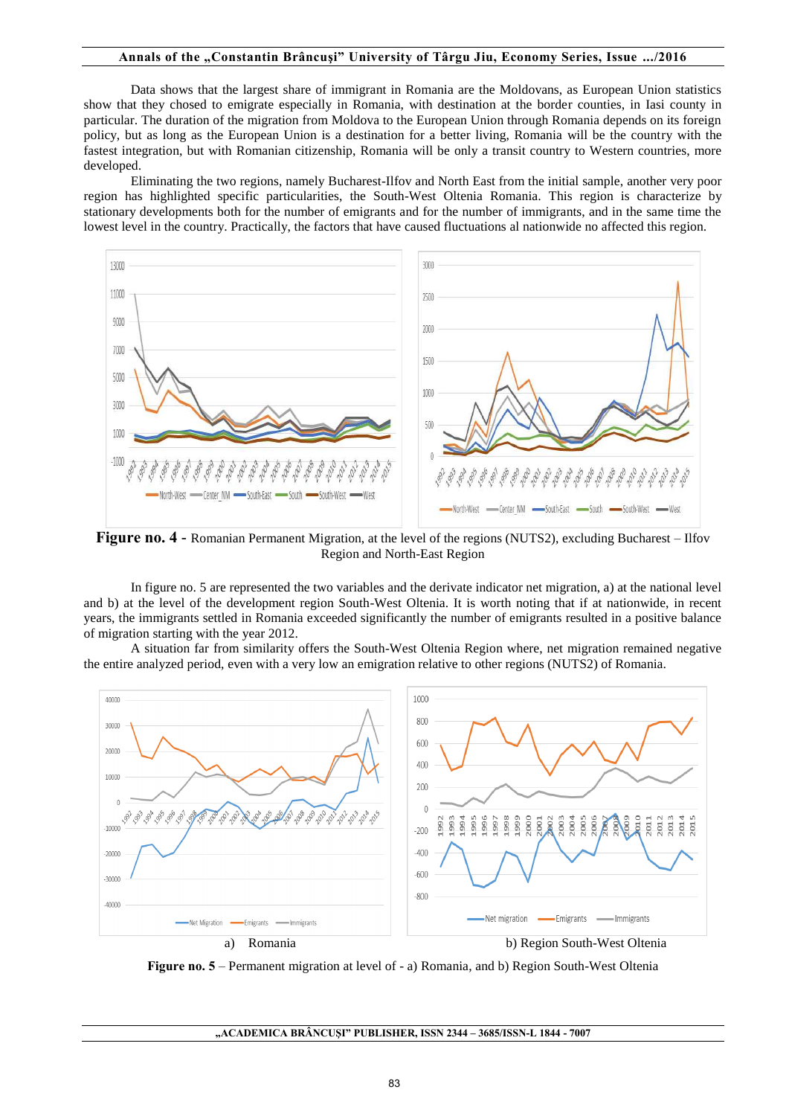#### **Annals of the "Constantin Brâncuşi" University of Târgu Jiu, Economy Series, Issue .../2016**

Data shows that the largest share of immigrant in Romania are the Moldovans, as European Union statistics show that they chosed to emigrate especially in Romania, with destination at the border counties, in Iasi county in particular. The duration of the migration from Moldova to the European Union through Romania depends on its foreign policy, but as long as the European Union is a destination for a better living, Romania will be the country with the fastest integration, but with Romanian citizenship, Romania will be only a transit country to Western countries, more developed.

Eliminating the two regions, namely Bucharest-Ilfov and North East from the initial sample, another very poor region has highlighted specific particularities, the South-West Oltenia Romania. This region is characterize by stationary developments both for the number of emigrants and for the number of immigrants, and in the same time the lowest level in the country. Practically, the factors that have caused fluctuations al nationwide no affected this region.



**Figure no. 4** - Romanian Permanent Migration, at the level of the regions (NUTS2), excluding Bucharest – Ilfov Region and North-East Region

In figure no. 5 are represented the two variables and the derivate indicator net migration, a) at the national level and b) at the level of the development region South-West Oltenia. It is worth noting that if at nationwide, in recent years, the immigrants settled in Romania exceeded significantly the number of emigrants resulted in a positive balance of migration starting with the year 2012.

A situation far from similarity offers the South-West Oltenia Region where, net migration remained negative the entire analyzed period, even with a very low an emigration relative to other regions (NUTS2) of Romania.



**Figure no. 5** – Permanent migration at level of - a) Romania, and b) Region South-West Oltenia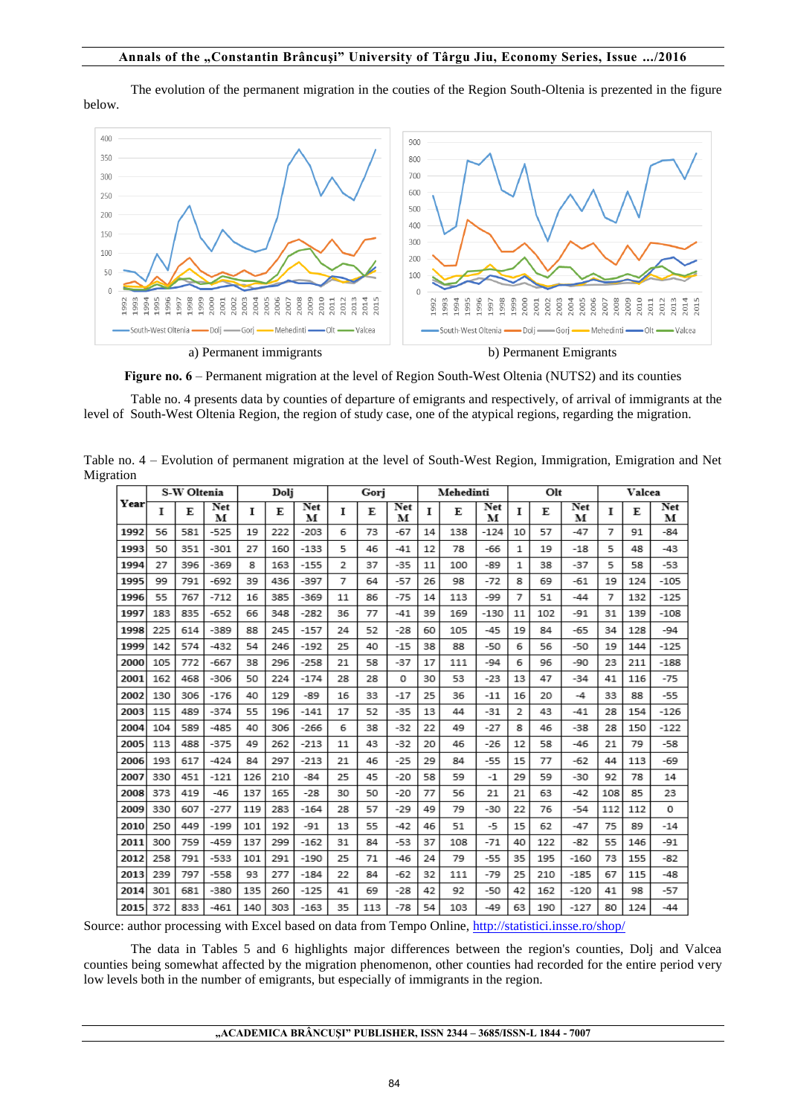The evolution of the permanent migration in the couties of the Region South-Oltenia is prezented in the figure below.



**Figure no. 6** – Permanent migration at the level of Region South-West Oltenia (NUTS2) and its counties

Table no. 4 presents data by counties of departure of emigrants and respectively, of arrival of immigrants at the level of South-West Oltenia Region, the region of study case, one of the atypical regions, regarding the migration.

| uuron |     |             |          |     |      |          |    |      |          |    |           |          |              |     |          |     |        |                 |
|-------|-----|-------------|----------|-----|------|----------|----|------|----------|----|-----------|----------|--------------|-----|----------|-----|--------|-----------------|
|       |     | S-W Oltenia |          |     | Dolj |          |    | Gori |          |    | Mehedinti |          |              | Olt |          |     | Valcea |                 |
| Year  | т   | E           | Net<br>м | Т   | E    | Net<br>м | 1  | E    | Net<br>м | 1  | E         | Net<br>м | <b>I</b>     | E   | Net<br>м | т   | Е      | <b>Net</b><br>м |
| 1992  | 56  | 581         | $-525$   | 19  | 222  | $-203$   | 6  | 73   | -67      | 14 | 138       | $-124$   | 10           | 57  | -47      | 7   | 91     | $-84$           |
| 1993  | 50  | 351         | -301     | 27  | 160  | $-133$   | 5  | 46   | $-41$    | 12 | 78        | -66      | 1            | 19  | $-18$    | 5   | 48     | $-43$           |
| 1994  | 27  | 396         | $-369$   | 8   | 163  | $-155$   | 2  | 37   | $-35$    | 11 | 100       | -89      | $\mathbf{1}$ | 38  | $-37$    | 5   | 58     | $-53$           |
| 1995  | 99  | 791         | $-692$   | 39  | 436  | $-397$   | 7  | 64   | $-57$    | 26 | 98        | $-72$    | 8            | 69  | $-61$    | 19  | 124    | $-105$          |
| 1996  | 55  | 767         | $-712$   | 16  | 385  | $-369$   | 11 | 86   | $-75$    | 14 | 113       | -99      | 7            | 51  | $-44$    | 7   | 132    | $-125$          |
| 1997  | 183 | 835         | $-652$   | 66  | 348  | $-282$   | 36 | 77   | -41      | 39 | 169       | $-130$   | 11           | 102 | -91      | 31  | 139    | $-108$          |
| 1998  | 225 | 614         | $-389$   | 88  | 245  | $-157$   | 24 | 52   | $-28$    | 60 | 105       | $-45$    | 19           | 84  | $-65$    | 34  | 128    | $-94$           |
| 1999  | 142 | 574         | $-432$   | 54  | 246  | $-192$   | 25 | 40   | $-15$    | 38 | 88        | $-50$    | 6            | 56  | $-50$    | 19  | 144    | $-125$          |
| 2000  | 105 | 772         | $-667$   | 38  | 296  | $-258$   | 21 | 58   | -37      | 17 | 111       | $-94$    | 6            | 96  | $-90$    | 23  | 211    | $-188$          |
| 2001  | 162 | 468         | $-306$   | 50  | 224  | $-174$   | 28 | 28   | 0        | 30 | 53        | $-23$    | 13           | 47  | $-34$    | 41  | 116    | $-75$           |
| 2002  | 130 | 306         | $-176$   | 40  | 129  | $-89$    | 16 | 33   | $-17$    | 25 | 36        | $-11$    | 16           | 20  | -4       | 33  | 88     | $-55$           |
| 2003  | 115 | 489         | $-374$   | 55  | 196  | $-141$   | 17 | 52   | $-35$    | 13 | 44        | $-31$    | 2            | 43  | $-41$    | 28  | 154    | $-126$          |
| 2004  | 104 | 589         | $-485$   | 40  | 306  | $-266$   | 6  | 38   | $-32$    | 22 | 49        | $-27$    | 8            | 46  | $-38$    | 28  | 150    | $-122$          |
| 2005  | 113 | 488         | $-375$   | 49  | 262  | $-213$   | 11 | 43   | -32      | 20 | 46        | $-26$    | 12           | 58  | $-46$    | 21  | 79     | -58             |
| 2006  | 193 | 617         | $-424$   | 84  | 297  | $-213$   | 21 | 46   | $-25$    | 29 | 84        | $-55$    | 15           | 77  | $-62$    | 44  | 113    | -69             |
| 2007  | 330 | 451         | $-121$   | 126 | 210  | $-84$    | 25 | 45   | -20      | 58 | 59        | -1       | 29           | 59  | $-30$    | 92  | 78     | 14              |
| 2008  | 373 | 419         | $-46$    | 137 | 165  | $-28$    | 30 | 50   | $-20$    | 77 | 56        | 21       | 21           | 63  | $-42$    | 108 | 85     | 23              |
| 2009  | 330 | 607         | $-277$   | 119 | 283  | $-164$   | 28 | 57   | $-29$    | 49 | 79        | $-30$    | 22           | 76  | $-54$    | 112 | 112    | 0               |
| 2010  | 250 | 449         | $-199$   | 101 | 192  | $-91$    | 13 | 55   | $-42$    | 46 | 51        | -5       | 15           | 62  | $-47$    | 75  | 89     | $-14$           |
| 2011  | 300 | 759         | $-459$   | 137 | 299  | $-162$   | 31 | 84   | $-53$    | 37 | 108       | $-71$    | 40           | 122 | $-82$    | 55  | 146    | $-91$           |
| 2012  | 258 | 791         | $-533$   | 101 | 291  | $-190$   | 25 | 71   | -46      | 24 | 79        | $-55$    | 35           | 195 | $-160$   | 73  | 155    | -82             |
| 2013  | 239 | 797         | $-558$   | 93  | 277  | $-184$   | 22 | 84   | $-62$    | 32 | 111       | $-79$    | 25           | 210 | $-185$   | 67  | 115    | -48             |
| 2014  | 301 | 681         | $-380$   | 135 | 260  | $-125$   | 41 | 69   | $-28$    | 42 | 92        | $-50$    | 42           | 162 | $-120$   | 41  | 98     | $-57$           |
| 2015  | 372 | 833         | $-461$   | 140 | 303  | $-163$   | 35 | 113  | $-78$    | 54 | 103       | $-49$    | 63           | 190 | $-127$   | 80  | 124    | $-44$           |

Table no. 4 – Evolution of permanent migration at the level of South-West Region, Immigration, Emigration and Net Migration

Source: author processing with Excel based on data from Tempo Online, <http://statistici.insse.ro/shop/>

The data in Tables 5 and 6 highlights major differences between the region's counties, Dolj and Valcea counties being somewhat affected by the migration phenomenon, other counties had recorded for the entire period very low levels both in the number of emigrants, but especially of immigrants in the region.